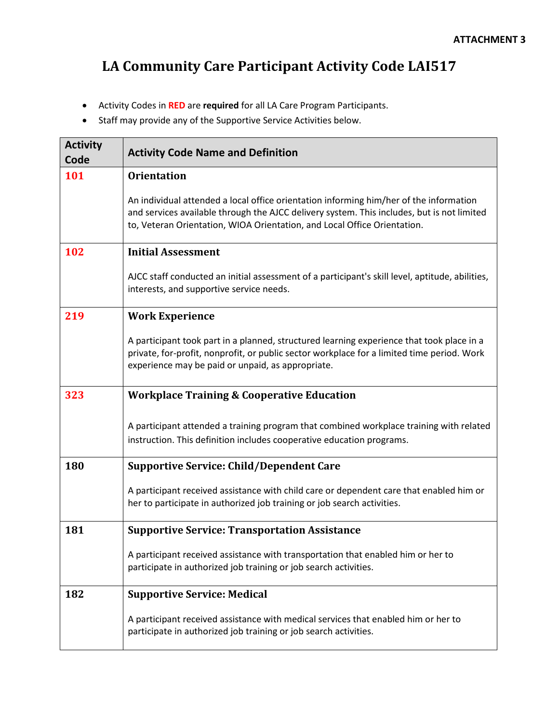## **LA Community Care Participant Activity Code LAI517**

- Activity Codes in **RED** are **required** for all LA Care Program Participants.
- Staff may provide any of the Supportive Service Activities below.

| <b>Activity</b><br>Code | <b>Activity Code Name and Definition</b>                                                                                                                                                                                                                         |
|-------------------------|------------------------------------------------------------------------------------------------------------------------------------------------------------------------------------------------------------------------------------------------------------------|
| 101                     | <b>Orientation</b>                                                                                                                                                                                                                                               |
|                         | An individual attended a local office orientation informing him/her of the information<br>and services available through the AJCC delivery system. This includes, but is not limited<br>to, Veteran Orientation, WIOA Orientation, and Local Office Orientation. |
| 102                     | <b>Initial Assessment</b>                                                                                                                                                                                                                                        |
|                         | AJCC staff conducted an initial assessment of a participant's skill level, aptitude, abilities,<br>interests, and supportive service needs.                                                                                                                      |
| 219                     | <b>Work Experience</b>                                                                                                                                                                                                                                           |
|                         | A participant took part in a planned, structured learning experience that took place in a<br>private, for-profit, nonprofit, or public sector workplace for a limited time period. Work<br>experience may be paid or unpaid, as appropriate.                     |
| 323                     | <b>Workplace Training &amp; Cooperative Education</b>                                                                                                                                                                                                            |
|                         | A participant attended a training program that combined workplace training with related<br>instruction. This definition includes cooperative education programs.                                                                                                 |
| 180                     | <b>Supportive Service: Child/Dependent Care</b>                                                                                                                                                                                                                  |
|                         | A participant received assistance with child care or dependent care that enabled him or<br>her to participate in authorized job training or job search activities.                                                                                               |
| 181                     | <b>Supportive Service: Transportation Assistance</b>                                                                                                                                                                                                             |
|                         | A participant received assistance with transportation that enabled him or her to<br>participate in authorized job training or job search activities.                                                                                                             |
| 182                     | <b>Supportive Service: Medical</b>                                                                                                                                                                                                                               |
|                         | A participant received assistance with medical services that enabled him or her to<br>participate in authorized job training or job search activities.                                                                                                           |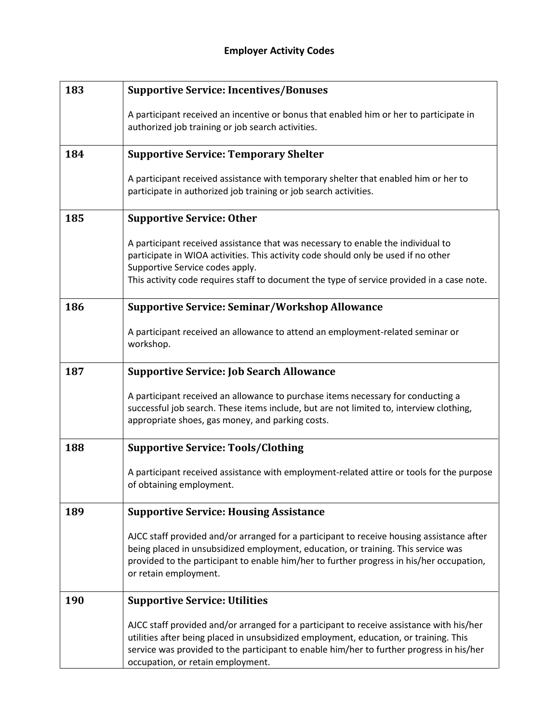| 183 | <b>Supportive Service: Incentives/Bonuses</b>                                                                                                                                                                                                                                                                      |
|-----|--------------------------------------------------------------------------------------------------------------------------------------------------------------------------------------------------------------------------------------------------------------------------------------------------------------------|
|     | A participant received an incentive or bonus that enabled him or her to participate in<br>authorized job training or job search activities.                                                                                                                                                                        |
| 184 | <b>Supportive Service: Temporary Shelter</b>                                                                                                                                                                                                                                                                       |
|     | A participant received assistance with temporary shelter that enabled him or her to<br>participate in authorized job training or job search activities.                                                                                                                                                            |
| 185 | <b>Supportive Service: Other</b>                                                                                                                                                                                                                                                                                   |
|     | A participant received assistance that was necessary to enable the individual to<br>participate in WIOA activities. This activity code should only be used if no other<br>Supportive Service codes apply.<br>This activity code requires staff to document the type of service provided in a case note.            |
| 186 | <b>Supportive Service: Seminar/Workshop Allowance</b>                                                                                                                                                                                                                                                              |
|     | A participant received an allowance to attend an employment-related seminar or<br>workshop.                                                                                                                                                                                                                        |
| 187 | <b>Supportive Service: Job Search Allowance</b>                                                                                                                                                                                                                                                                    |
|     | A participant received an allowance to purchase items necessary for conducting a<br>successful job search. These items include, but are not limited to, interview clothing,<br>appropriate shoes, gas money, and parking costs.                                                                                    |
| 188 | <b>Supportive Service: Tools/Clothing</b>                                                                                                                                                                                                                                                                          |
|     | A participant received assistance with employment-related attire or tools for the purpose<br>of obtaining employment.                                                                                                                                                                                              |
| 189 | <b>Supportive Service: Housing Assistance</b>                                                                                                                                                                                                                                                                      |
|     | AJCC staff provided and/or arranged for a participant to receive housing assistance after<br>being placed in unsubsidized employment, education, or training. This service was<br>provided to the participant to enable him/her to further progress in his/her occupation,<br>or retain employment.                |
| 190 | <b>Supportive Service: Utilities</b>                                                                                                                                                                                                                                                                               |
|     | AJCC staff provided and/or arranged for a participant to receive assistance with his/her<br>utilities after being placed in unsubsidized employment, education, or training. This<br>service was provided to the participant to enable him/her to further progress in his/her<br>occupation, or retain employment. |